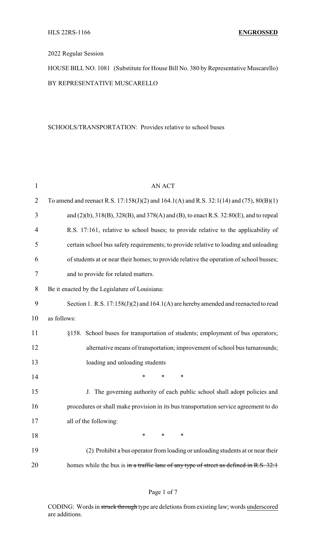## 2022 Regular Session

HOUSE BILL NO. 1081 (Substitute for House Bill No. 380 by Representative Muscarello) BY REPRESENTATIVE MUSCARELLO

#### SCHOOLS/TRANSPORTATION: Provides relative to school buses

| $\mathbf{1}$   | <b>AN ACT</b>                                                                                       |  |  |  |
|----------------|-----------------------------------------------------------------------------------------------------|--|--|--|
| $\overline{2}$ | To amend and reenact R.S. $17:158(J)(2)$ and $164.1(A)$ and R.S. $32:1(14)$ and $(75)$ , $80(B)(1)$ |  |  |  |
| 3              | and (2)(b), 318(B), 328(B), and 378(A) and (B), to enact R.S. 32:80(E), and to repeal               |  |  |  |
| $\overline{4}$ | R.S. 17:161, relative to school buses; to provide relative to the applicability of                  |  |  |  |
| 5              | certain school bus safety requirements; to provide relative to loading and unloading                |  |  |  |
| 6              | of students at or near their homes; to provide relative the operation of school busses;             |  |  |  |
| 7              | and to provide for related matters.                                                                 |  |  |  |
| 8              | Be it enacted by the Legislature of Louisiana:                                                      |  |  |  |
| 9              | Section 1. R.S. $17:158(J)(2)$ and $164.1(A)$ are hereby amended and reenacted to read              |  |  |  |
| 10             | as follows:                                                                                         |  |  |  |
| 11             | §158. School buses for transportation of students; employment of bus operators;                     |  |  |  |
| 12             | alternative means of transportation; improvement of school bus turnarounds;                         |  |  |  |
| 13             | loading and unloading students                                                                      |  |  |  |
| 14             | $\ast$<br>$\ast$<br>$\ast$                                                                          |  |  |  |
| 15             | J. The governing authority of each public school shall adopt policies and                           |  |  |  |
| 16             | procedures or shall make provision in its bus transportation service agreement to do                |  |  |  |
| 17             | all of the following:                                                                               |  |  |  |
| 18             | ∗<br>∗<br>∗                                                                                         |  |  |  |
| 19             | (2) Prohibit a bus operator from loading or unloading students at or near their                     |  |  |  |
| 20             | homes while the bus is in a traffic lane of any type of street as defined in R.S. 32:1              |  |  |  |

## Page 1 of 7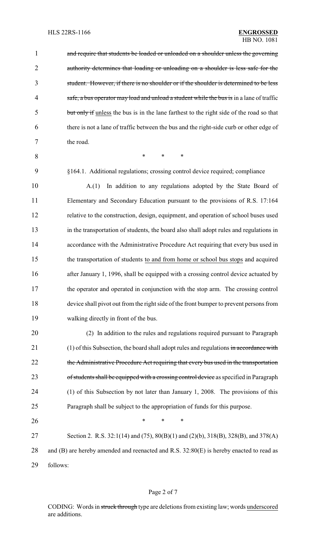| $\mathbf{1}$   | and require that students be loaded or unloaded on a shoulder unless the governing       |  |  |
|----------------|------------------------------------------------------------------------------------------|--|--|
| $\overline{2}$ | authority determines that loading or unloading on a shoulder is less safe for the        |  |  |
| 3              | student. However, if there is no shoulder or if the shoulder is determined to be less    |  |  |
| $\overline{4}$ | safe, a bus operator may load and unload a student while the bus is in a lane of traffic |  |  |
| 5              | but only if unless the bus is in the lane farthest to the right side of the road so that |  |  |
| 6              | there is not a lane of traffic between the bus and the right-side curb or other edge of  |  |  |
| 7              | the road.                                                                                |  |  |
| 8              | $\ast$<br>$\ast$<br>$\ast$                                                               |  |  |
| 9              | §164.1. Additional regulations; crossing control device required; compliance             |  |  |
| 10             | In addition to any regulations adopted by the State Board of<br>A(1)                     |  |  |
| 11             | Elementary and Secondary Education pursuant to the provisions of R.S. 17:164             |  |  |
| 12             | relative to the construction, design, equipment, and operation of school buses used      |  |  |
| 13             | in the transportation of students, the board also shall adopt rules and regulations in   |  |  |
| 14             | accordance with the Administrative Procedure Act requiring that every bus used in        |  |  |
| 15             | the transportation of students to and from home or school bus stops and acquired         |  |  |
| 16             | after January 1, 1996, shall be equipped with a crossing control device actuated by      |  |  |
| 17             | the operator and operated in conjunction with the stop arm. The crossing control         |  |  |
| 18             | device shall pivot out from the right side of the front bumper to prevent persons from   |  |  |
| 19             | walking directly in front of the bus.                                                    |  |  |
| 20             | (2) In addition to the rules and regulations required pursuant to Paragraph              |  |  |
| 21             | $(1)$ of this Subsection, the board shall adopt rules and regulations in accordance with |  |  |
| 22             | the Administrative Procedure Act requiring that every bus used in the transportation     |  |  |
| 23             | of students shall be equipped with a crossing control device as specified in Paragraph   |  |  |
| 24             | (1) of this Subsection by not later than January 1, 2008. The provisions of this         |  |  |

25 Paragraph shall be subject to the appropriation of funds for this purpose.

26 **\*** \* \* \*

27 Section 2. R.S. 32:1(14) and (75), 80(B)(1) and (2)(b), 318(B), 328(B), and 378(A) 28 and (B) are hereby amended and reenacted and R.S. 32:80(E) is hereby enacted to read as 29 follows:

## Page 2 of 7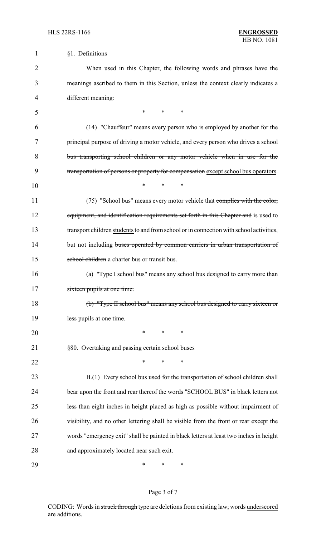| $\mathbf 1$    | §1. Definitions                                                                         |  |  |
|----------------|-----------------------------------------------------------------------------------------|--|--|
| $\overline{2}$ | When used in this Chapter, the following words and phrases have the                     |  |  |
| 3              | meanings ascribed to them in this Section, unless the context clearly indicates a       |  |  |
| $\overline{4}$ | different meaning:                                                                      |  |  |
| 5              | $*$ $*$<br>$\ast$                                                                       |  |  |
| 6              | (14) "Chauffeur" means every person who is employed by another for the                  |  |  |
| 7              | principal purpose of driving a motor vehicle, and every person who drives a school      |  |  |
| 8              | bus transporting school children or any motor vehicle when in use for the               |  |  |
| 9              | transportation of persons or property for compensation except school bus operators.     |  |  |
| 10             | $\ast$<br>$\ast$<br>$\ast$                                                              |  |  |
| 11             | (75) "School bus" means every motor vehicle that complies with the color,               |  |  |
| 12             | equipment, and identification requirements set forth in this Chapter and is used to     |  |  |
| 13             | transport children students to and from school or in connection with school activities, |  |  |
| 14             | but not including buses operated by common carriers in urban transportation of          |  |  |
| 15             | school children a charter bus or transit bus.                                           |  |  |
| 16             | (a) "Type I school bus" means any school bus designed to carry more than                |  |  |
| 17             | sixteen pupils at one time.                                                             |  |  |
| 18             | (b) "Type II school bus" means any school bus designed to carry sixteen or              |  |  |
| 19             | less pupils at one time.                                                                |  |  |
| 20             | $\ast$<br>$\ast$<br>$\ast$                                                              |  |  |
| 21             | §80. Overtaking and passing certain school buses                                        |  |  |
| 22             | ∗<br>*<br>*                                                                             |  |  |
| 23             | B.(1) Every school bus used for the transportation of school children shall             |  |  |
| 24             | bear upon the front and rear thereof the words "SCHOOL BUS" in black letters not        |  |  |
| 25             | less than eight inches in height placed as high as possible without impairment of       |  |  |
| 26             | visibility, and no other lettering shall be visible from the front or rear except the   |  |  |
| 27             | words "emergency exit" shall be painted in black letters at least two inches in height  |  |  |
| 28             | and approximately located near such exit.                                               |  |  |
| 29             | ∗<br>∗<br>∗                                                                             |  |  |

# Page 3 of 7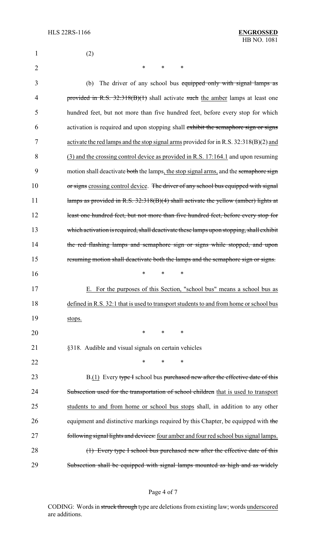| 1              | (2)                                                                                     |
|----------------|-----------------------------------------------------------------------------------------|
| $\overline{2}$ | $\ast$<br>$\ast$<br>∗                                                                   |
| 3              | The driver of any school bus equipped only with signal lamps as<br>(b)                  |
| 4              | provided in R.S. $32:318(B)(1)$ shall activate such the amber lamps at least one        |
| 5              | hundred feet, but not more than five hundred feet, before every stop for which          |
| 6              | activation is required and upon stopping shall exhibit the semaphore sign or signs      |
| 7              | activate the red lamps and the stop signal arms provided for in R.S. $32:318(B)(2)$ and |
| 8              | (3) and the crossing control device as provided in R.S. 17:164.1 and upon resuming      |
| 9              | motion shall deactivate both the lamps, the stop signal arms, and the semaphore sign    |
| 10             | or signs crossing control device. The driver of any school bus equipped with signal     |
| 11             | lamps as provided in R.S. 32:318(B)(4) shall activate the yellow (amber) lights at      |
| 12             | least one hundred feet, but not more than five hundred feet, before every stop for      |
| 13             | which activation is required, shall deactivate these lamps upon stopping, shall exhibit |
| 14             | the red flashing lamps and semaphore sign or signs while stopped, and upon              |
| 15             | resuming motion shall deactivate both the lamps and the semaphore sign or signs.        |
| 16             | $\ast$<br>∗<br>*                                                                        |
| 17             | For the purposes of this Section, "school bus" means a school bus as                    |
| 18             | defined in R.S. 32:1 that is used to transport students to and from home or school bus  |
| 19             | stops.                                                                                  |
| 20             | $\ast$<br>$\ast$<br>$\ast$                                                              |
| 21             | §318. Audible and visual signals on certain vehicles                                    |
| 22             | $\ast$<br>*<br>∗                                                                        |
| 23             | B.(1) Every type I school bus purchased new after the effective date of this            |
| 24             | Subsection used for the transportation of school children that is used to transport     |
| 25             | students to and from home or school bus stops shall, in addition to any other           |
| 26             | equipment and distinctive markings required by this Chapter, be equipped with the       |
| 27             | following signal lights and devices: four amber and four red school bus signal lamps.   |
| 28             | (1) Every type I school bus purchased new after the effective date of this              |
| 29             | Subsection shall be equipped with signal lamps mounted as high and as widely            |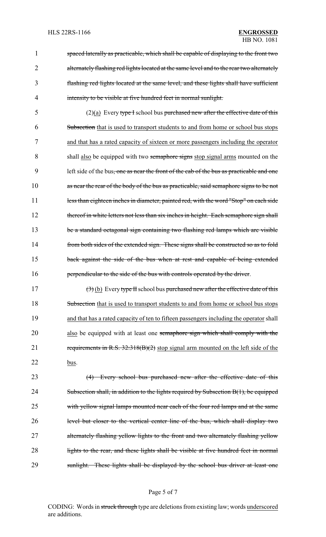spaced laterally as practicable, which shall be capable of displaying to the front two 2 alternately flashing red lights located at the same level and to the rear two alternately flashing red lights located at the same level, and these lights shall have sufficient intensity to be visible at five hundred feet in normal sunlight.

5 (2)(a) Every type I school bus purchased new after the effective date of this 6 Subsection that is used to transport students to and from home or school bus stops 7 and that has a rated capacity of sixteen or more passengers including the operator 8 shall also be equipped with two semaphore signs stop signal arms mounted on the 9 left side of the bus, one as near the front of the cab of the bus as practicable and one 10 as near the rear of the body of the bus as practicable, said semaphore signs to be not 11 less than eighteen inches in diameter, painted red, with the word "Stop" on each side 12 thereof in white letters not less than six inches in height. Each semaphore sign shall 13 be a standard octagonal sign containing two flashing red lamps which are visible 14 from both sides of the extended sign. These signs shall be constructed so as to fold 15 back against the side of the bus when at rest and capable of being extended 16 **perpendicular to the side of the bus with controls operated by the driver.** 

17  $(3)$  (b) Every type II school bus purchased new after the effective date of this 18 Subsection that is used to transport students to and from home or school bus stops 19 and that has a rated capacity of ten to fifteen passengers including the operator shall 20 also be equipped with at least one semaphore sign which shall comply with the 21 requirements in R.S. 32:318(B)(2) stop signal arm mounted on the left side of the 22 bus.

23 (4) Every school bus purchased new after the effective date of this 24 Subsection shall, in addition to the lights required by Subsection B(1), be equipped 25 with yellow signal lamps mounted near each of the four red lamps and at the same 26 level but closer to the vertical center line of the bus, which shall display two 27 alternately flashing yellow lights to the front and two alternately flashing yellow 28 lights to the rear, and these lights shall be visible at five hundred feet in normal 29 sunlight. These lights shall be displayed by the school bus driver at least one

#### Page 5 of 7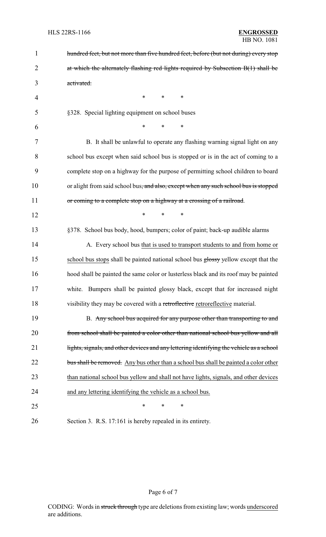| $\mathbf{1}$   | hundred feet, but not more than five hundred feet, before (but not during) every stop            |  |  |
|----------------|--------------------------------------------------------------------------------------------------|--|--|
| $\overline{2}$ | at which the alternately flashing red lights required by Subsection B(1) shall be                |  |  |
| 3              | activated.                                                                                       |  |  |
| 4              | $\ast$<br>∗<br>∗                                                                                 |  |  |
| 5              | §328. Special lighting equipment on school buses                                                 |  |  |
| 6              | $\ast$<br>$\ast$<br>$\ast$                                                                       |  |  |
| 7              | B. It shall be unlawful to operate any flashing warning signal light on any                      |  |  |
| 8              | school bus except when said school bus is stopped or is in the act of coming to a                |  |  |
| 9              | complete stop on a highway for the purpose of permitting school children to board                |  |  |
| 10             | or alight from said school bus <del>, and also, except when any such school bus is stopped</del> |  |  |
| 11             | or coming to a complete stop on a highway at a crossing of a railroad.                           |  |  |
| 12             | $\ast$<br>$\ast$<br>∗                                                                            |  |  |
| 13             | §378. School bus body, hood, bumpers; color of paint; back-up audible alarms                     |  |  |
| 14             | A. Every school bus that is used to transport students to and from home or                       |  |  |
| 15             | school bus stops shall be painted national school bus glossy yellow except that the              |  |  |
| 16             | hood shall be painted the same color or lusterless black and its roof may be painted             |  |  |
| 17             | white. Bumpers shall be painted glossy black, except that for increased night                    |  |  |
| 18             | visibility they may be covered with a retroflective retroreflective material.                    |  |  |
| 19             | B. Any school bus acquired for any purpose other than transporting to and                        |  |  |
| 20             | from school shall be painted a color other than national school bus yellow and all               |  |  |
| 21             | lights, signals, and other devices and any lettering identifying the vehicle as a school         |  |  |
| 22             | bus shall be removed. Any bus other than a school bus shall be painted a color other             |  |  |
| 23             | than national school bus yellow and shall not have lights, signals, and other devices            |  |  |
| 24             | and any lettering identifying the vehicle as a school bus.                                       |  |  |
| 25             | ∗<br>*<br>∗                                                                                      |  |  |
| 26             | Section 3. R.S. 17:161 is hereby repealed in its entirety.                                       |  |  |